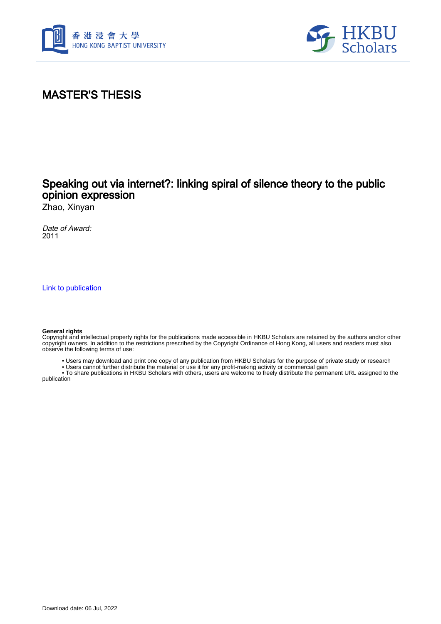



# MASTER'S THESIS

### Speaking out via internet?: linking spiral of silence theory to the public opinion expression

Zhao, Xinyan

Date of Award: 2011

[Link to publication](https://scholars.hkbu.edu.hk/en/studentTheses/efbe9ed7-ff1c-4000-bc96-76240a6f743e)

#### **General rights**

Copyright and intellectual property rights for the publications made accessible in HKBU Scholars are retained by the authors and/or other copyright owners. In addition to the restrictions prescribed by the Copyright Ordinance of Hong Kong, all users and readers must also observe the following terms of use:

• Users may download and print one copy of any publication from HKBU Scholars for the purpose of private study or research

• Users cannot further distribute the material or use it for any profit-making activity or commercial gain

 • To share publications in HKBU Scholars with others, users are welcome to freely distribute the permanent URL assigned to the publication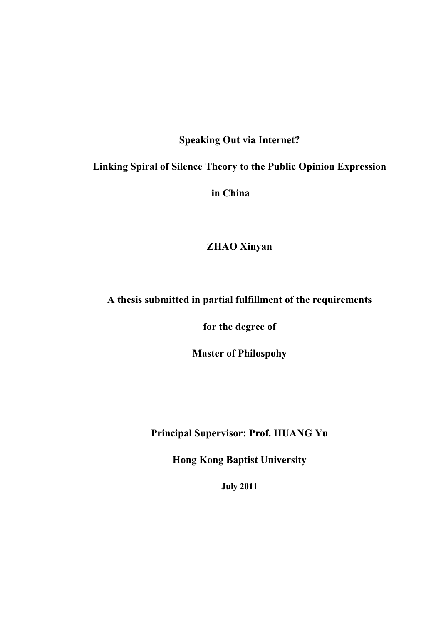# **Speaking Out via Internet?**

#### **Linking Spiral of Silence Theory to the Public Opinion Expression**

**in China**

**ZHAO Xinyan**

## **A thesis submitted in partial fulfillment of the requirements**

**for the degree of** 

**Master of Philospohy**

**Principal Supervisor: Prof. HUANG Yu**

**Hong Kong Baptist University** 

**July 2011**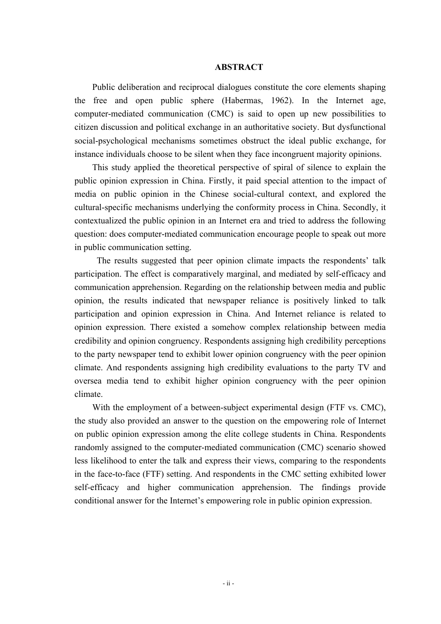#### **ABSTRACT**

Public deliberation and reciprocal dialogues constitute the core elements shaping the free and open public sphere (Habermas, 1962). In the Internet age, computer-mediated communication (CMC) is said to open up new possibilities to citizen discussion and political exchange in an authoritative society. But dysfunctional social-psychological mechanisms sometimes obstruct the ideal public exchange, for instance individuals choose to be silent when they face incongruent majority opinions.

This study applied the theoretical perspective of spiral of silence to explain the public opinion expression in China. Firstly, it paid special attention to the impact of media on public opinion in the Chinese social-cultural context, and explored the cultural-specific mechanisms underlying the conformity process in China. Secondly, it contextualized the public opinion in an Internet era and tried to address the following question: does computer-mediated communication encourage people to speak out more in public communication setting.

The results suggested that peer opinion climate impacts the respondents' talk participation. The effect is comparatively marginal, and mediated by self-efficacy and communication apprehension. Regarding on the relationship between media and public opinion, the results indicated that newspaper reliance is positively linked to talk participation and opinion expression in China. And Internet reliance is related to opinion expression. There existed a somehow complex relationship between media credibility and opinion congruency. Respondents assigning high credibility perceptions to the party newspaper tend to exhibit lower opinion congruency with the peer opinion climate. And respondents assigning high credibility evaluations to the party TV and oversea media tend to exhibit higher opinion congruency with the peer opinion climate.

With the employment of a between-subject experimental design (FTF vs. CMC), the study also provided an answer to the question on the empowering role of Internet on public opinion expression among the elite college students in China. Respondents randomly assigned to the computer-mediated communication (CMC) scenario showed less likelihood to enter the talk and express their views, comparing to the respondents in the face-to-face (FTF) setting. And respondents in the CMC setting exhibited lower self-efficacy and higher communication apprehension. The findings provide conditional answer for the Internet's empowering role in public opinion expression.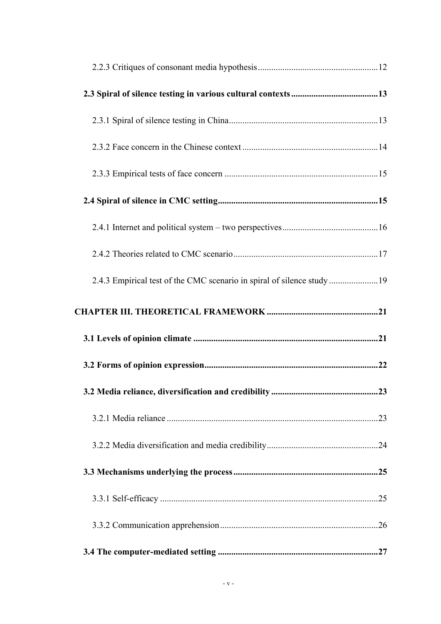| 2.4.3 Empirical test of the CMC scenario in spiral of silence study 19 |  |
|------------------------------------------------------------------------|--|
|                                                                        |  |
|                                                                        |  |
|                                                                        |  |
|                                                                        |  |
|                                                                        |  |
|                                                                        |  |
|                                                                        |  |
|                                                                        |  |
|                                                                        |  |
|                                                                        |  |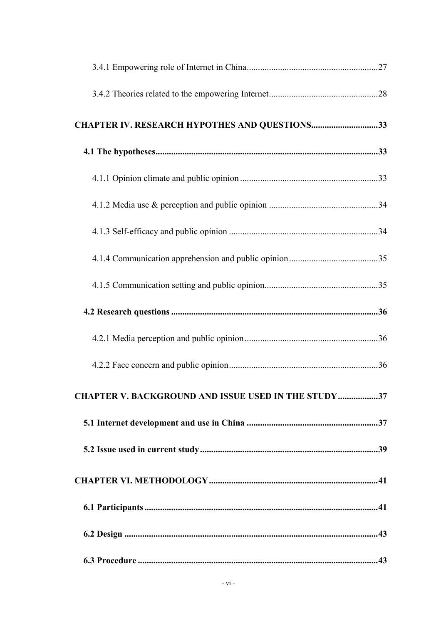| CHAPTER IV. RESEARCH HYPOTHES AND QUESTIONS33              |  |
|------------------------------------------------------------|--|
|                                                            |  |
|                                                            |  |
|                                                            |  |
|                                                            |  |
|                                                            |  |
|                                                            |  |
|                                                            |  |
|                                                            |  |
|                                                            |  |
| <b>CHAPTER V. BACKGROUND AND ISSUE USED IN THE STUDY37</b> |  |
|                                                            |  |
|                                                            |  |
|                                                            |  |
|                                                            |  |
|                                                            |  |
|                                                            |  |